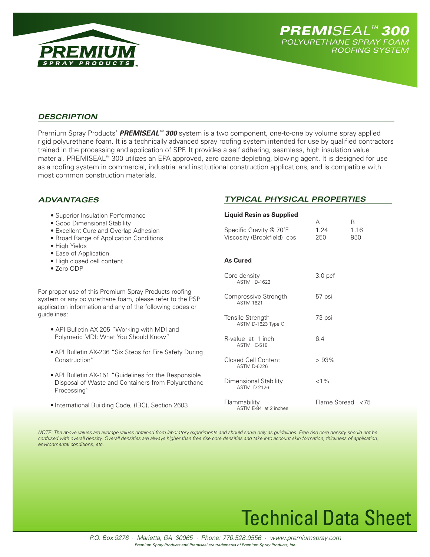



*Typical Physical Properties*

## *Description*

Premium Spray Products' *PREMISEAL™ 300* system is a two component, one-to-one by volume spray applied rigid polyurethane foam. It is a technically advanced spray roofing system intended for use by qualified contractors trained in the processing and application of SPF. It provides a self adhering, seamless, high insulation value material. PREMISEAL™ 300 utilizes an EPA approved, zero ozone-depleting, blowing agent. It is designed for use as a roofing system in commercial, industrial and institutional construction applications, and is compatible with most common construction materials.

## *Advantages*

| • Superior Insulation Performance                         | <b>Liquid Resin as Supplied</b>                    |                    |      |
|-----------------------------------------------------------|----------------------------------------------------|--------------------|------|
| • Good Dimensional Stability                              |                                                    | A                  | B    |
| <b>•</b> Excellent Cure and Overlap Adhesion              | Specific Gravity @ 70°F                            | 1.24               | 1.16 |
| • Broad Range of Application Conditions                   | Viscosity (Brookfield) cps                         | 250                | 950  |
| • High Yields                                             |                                                    |                    |      |
| • Ease of Application                                     |                                                    |                    |      |
| · High closed cell content                                | <b>As Cured</b>                                    |                    |      |
| • Zero ODP                                                |                                                    |                    |      |
|                                                           | Core density<br>ASTM D-1622                        | 3.0 <sub>pcf</sub> |      |
| For proper use of this Premium Spray Products roofing     |                                                    |                    |      |
| system or any polyurethane foam, please refer to the PSP  | Compressive Strength                               | 57 psi             |      |
| application information and any of the following codes or | <b>ASTM 1621</b>                                   |                    |      |
| guidelines:                                               |                                                    |                    |      |
|                                                           | Tensile Strength                                   | 73 psi             |      |
| • API Bulletin AX-205 "Working with MDI and               | ASTM D-1623 Type C                                 |                    |      |
| Polymeric MDI: What You Should Know"                      |                                                    |                    |      |
|                                                           | R-value at 1 inch                                  | 6.4                |      |
|                                                           | ASTM C-518                                         |                    |      |
| • API Bulletin AX-236 "Six Steps for Fire Safety During   |                                                    |                    |      |
| Construction"                                             | <b>Closed Cell Content</b>                         | >93%               |      |
|                                                           | <b>ASTM D-6226</b>                                 |                    |      |
| • API Bulletin AX-151 "Guidelines for the Responsible     |                                                    |                    |      |
| Disposal of Waste and Containers from Polyurethane        | <b>Dimensional Stability</b><br><b>ASTM D-2126</b> | $< 1\%$            |      |
| Processing"                                               |                                                    |                    |      |
|                                                           | Flammability                                       | Flame Spread <75   |      |
| • International Building Code, (IBC), Section 2603        | $A C T A E Q A + 2 in a h a a$                     |                    |      |

*Note: The above values are average values obtained from laboratory experiments and should serve only as guidelines. Free rise core density should not be confused with overall density. Overall densities are always higher than free rise core densities and take into account skin formation, thickness of application, environmental conditions, etc.*

ASTM E-84 at 2 inches

# Technical Data Sheet